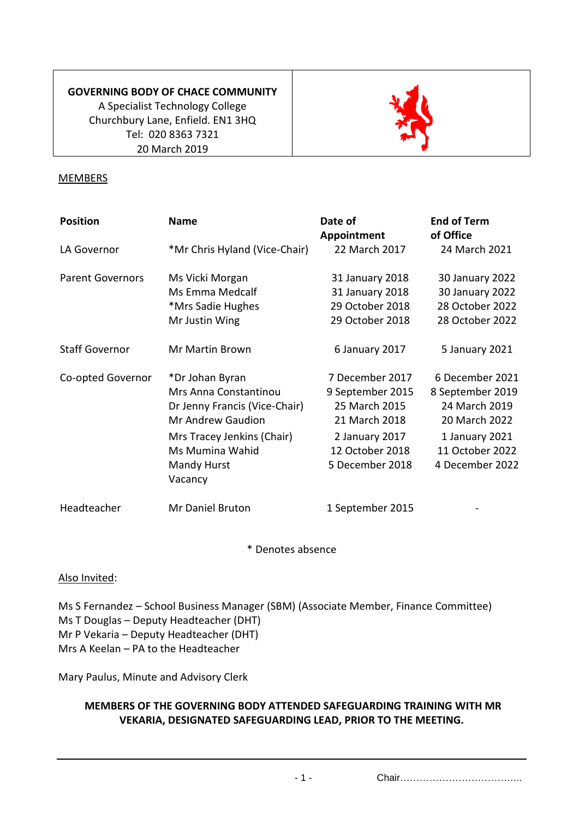## **GOVERNING BODY OF CHACE COMMUNITY**

A Specialist Technology College Churchbury Lane, Enfield. EN1 3HQ Tel: 020 8363 7321 20 March 2019



#### **MEMBERS**

| <b>Position</b>         | <b>Name</b>                                                                                                                                                                      | Date of<br>Appointment                                                                                                        | <b>End of Term</b><br>of Office                                                                                               |
|-------------------------|----------------------------------------------------------------------------------------------------------------------------------------------------------------------------------|-------------------------------------------------------------------------------------------------------------------------------|-------------------------------------------------------------------------------------------------------------------------------|
| LA Governor             | *Mr Chris Hyland (Vice-Chair)                                                                                                                                                    | 22 March 2017                                                                                                                 | 24 March 2021                                                                                                                 |
| <b>Parent Governors</b> | Ms Vicki Morgan<br>Ms Emma Medcalf<br>*Mrs Sadie Hughes<br>Mr Justin Wing                                                                                                        | 31 January 2018<br>31 January 2018<br>29 October 2018<br>29 October 2018                                                      | 30 January 2022<br>30 January 2022<br>28 October 2022<br>28 October 2022                                                      |
| <b>Staff Governor</b>   | Mr Martin Brown                                                                                                                                                                  | 6 January 2017                                                                                                                | 5 January 2021                                                                                                                |
| Co-opted Governor       | *Dr Johan Byran<br>Mrs Anna Constantinou<br>Dr Jenny Francis (Vice-Chair)<br><b>Mr Andrew Gaudion</b><br>Mrs Tracey Jenkins (Chair)<br>Ms Mumina Wahid<br>Mandy Hurst<br>Vacancy | 7 December 2017<br>9 September 2015<br>25 March 2015<br>21 March 2018<br>2 January 2017<br>12 October 2018<br>5 December 2018 | 6 December 2021<br>8 September 2019<br>24 March 2019<br>20 March 2022<br>1 January 2021<br>11 October 2022<br>4 December 2022 |
| Headteacher             | Mr Daniel Bruton                                                                                                                                                                 | 1 September 2015                                                                                                              |                                                                                                                               |

\* Denotes absence

Also Invited:

Ms S Fernandez – School Business Manager (SBM) (Associate Member, Finance Committee) Ms T Douglas – Deputy Headteacher (DHT) Mr P Vekaria – Deputy Headteacher (DHT) Mrs A Keelan – PA to the Headteacher

Mary Paulus, Minute and Advisory Clerk

## **MEMBERS OF THE GOVERNING BODY ATTENDED SAFEGUARDING TRAINING WITH MR VEKARIA, DESIGNATED SAFEGUARDING LEAD, PRIOR TO THE MEETING.**

- 1 - Chair………………………………..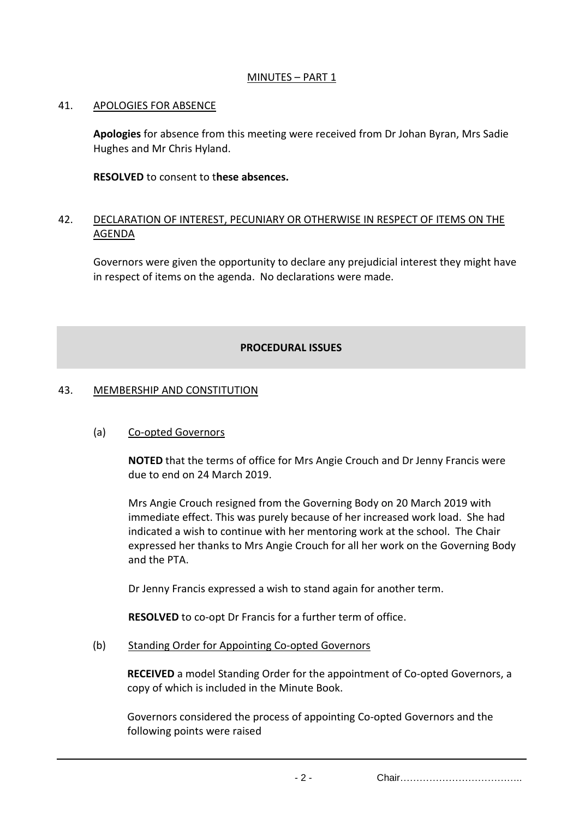## MINUTES - PART 1

#### 41. APOLOGIES FOR ABSENCE

**Apologies** for absence from this meeting were received from Dr Johan Byran, Mrs Sadie Hughes and Mr Chris Hyland.

**RESOLVED** to consent to t**hese absences.**

### 42. DECLARATION OF INTEREST, PECUNIARY OR OTHERWISE IN RESPECT OF ITEMS ON THE AGENDA

Governors were given the opportunity to declare any prejudicial interest they might have in respect of items on the agenda. No declarations were made.

#### **PROCEDURAL ISSUES**

#### 43. MEMBERSHIP AND CONSTITUTION

## (a) Co-opted Governors

**NOTED** that the terms of office for Mrs Angie Crouch and Dr Jenny Francis were due to end on 24 March 2019.

Mrs Angie Crouch resigned from the Governing Body on 20 March 2019 with immediate effect. This was purely because of her increased work load. She had indicated a wish to continue with her mentoring work at the school. The Chair expressed her thanks to Mrs Angie Crouch for all her work on the Governing Body and the PTA.

Dr Jenny Francis expressed a wish to stand again for another term.

**RESOLVED** to co-opt Dr Francis for a further term of office.

(b) Standing Order for Appointing Co-opted Governors

**RECEIVED** a model Standing Order for the appointment of Co-opted Governors, a copy of which is included in the Minute Book.

Governors considered the process of appointing Co-opted Governors and the following points were raised

- 2 - Chair………………………………..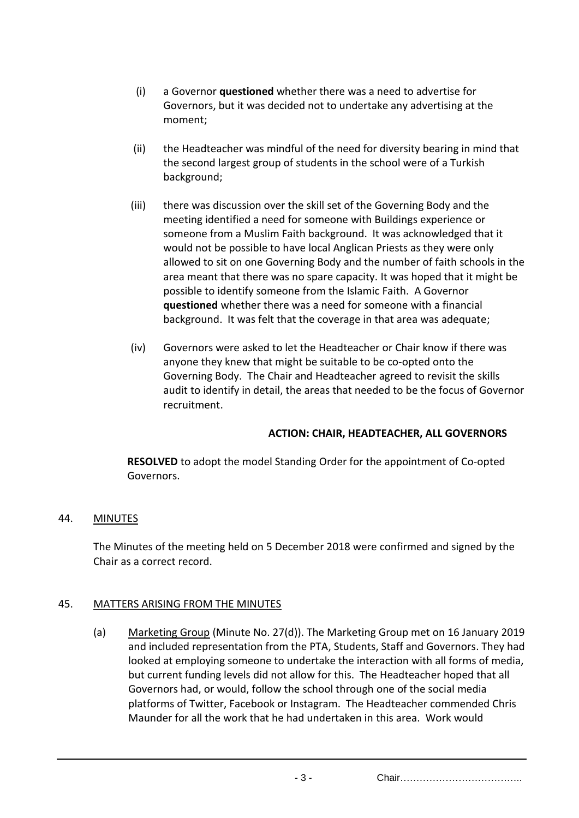- (i) a Governor **questioned** whether there was a need to advertise for Governors, but it was decided not to undertake any advertising at the moment;
- (ii) the Headteacher was mindful of the need for diversity bearing in mind that the second largest group of students in the school were of a Turkish background;
- (iii) there was discussion over the skill set of the Governing Body and the meeting identified a need for someone with Buildings experience or someone from a Muslim Faith background. It was acknowledged that it would not be possible to have local Anglican Priests as they were only allowed to sit on one Governing Body and the number of faith schools in the area meant that there was no spare capacity. It was hoped that it might be possible to identify someone from the Islamic Faith. A Governor **questioned** whether there was a need for someone with a financial background. It was felt that the coverage in that area was adequate;
- (iv) Governors were asked to let the Headteacher or Chair know if there was anyone they knew that might be suitable to be co-opted onto the Governing Body. The Chair and Headteacher agreed to revisit the skills audit to identify in detail, the areas that needed to be the focus of Governor recruitment.

## **ACTION: CHAIR, HEADTEACHER, ALL GOVERNORS**

**RESOLVED** to adopt the model Standing Order for the appointment of Co-opted Governors.

## 44. MINUTES

The Minutes of the meeting held on 5 December 2018 were confirmed and signed by the Chair as a correct record.

# 45. MATTERS ARISING FROM THE MINUTES

(a) Marketing Group (Minute No. 27(d)). The Marketing Group met on 16 January 2019 and included representation from the PTA, Students, Staff and Governors. They had looked at employing someone to undertake the interaction with all forms of media, but current funding levels did not allow for this. The Headteacher hoped that all Governors had, or would, follow the school through one of the social media platforms of Twitter, Facebook or Instagram. The Headteacher commended Chris Maunder for all the work that he had undertaken in this area. Work would

- 3 - Chair………………………………..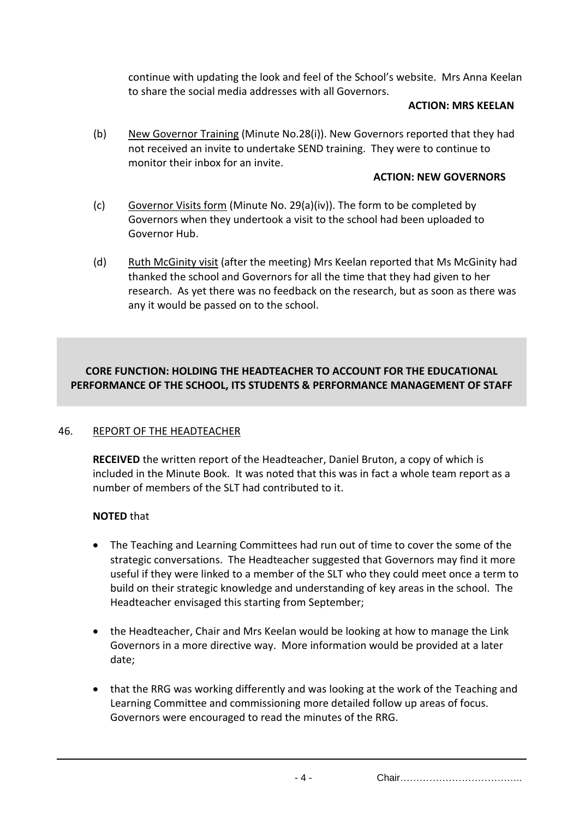continue with updating the look and feel of the School's website. Mrs Anna Keelan to share the social media addresses with all Governors.

#### **ACTION: MRS KEELAN**

(b) New Governor Training (Minute No.28(i)). New Governors reported that they had not received an invite to undertake SEND training. They were to continue to monitor their inbox for an invite.

### **ACTION: NEW GOVERNORS**

- (c) Governor Visits form (Minute No. 29(a)(iv)). The form to be completed by Governors when they undertook a visit to the school had been uploaded to Governor Hub.
- (d) Ruth McGinity visit (after the meeting) Mrs Keelan reported that Ms McGinity had thanked the school and Governors for all the time that they had given to her research. As yet there was no feedback on the research, but as soon as there was any it would be passed on to the school.

## **CORE FUNCTION: HOLDING THE HEADTEACHER TO ACCOUNT FOR THE EDUCATIONAL PERFORMANCE OF THE SCHOOL, ITS STUDENTS & PERFORMANCE MANAGEMENT OF STAFF**

## 46. REPORT OF THE HEADTEACHER

**RECEIVED** the written report of the Headteacher, Daniel Bruton, a copy of which is included in the Minute Book. It was noted that this was in fact a whole team report as a number of members of the SLT had contributed to it.

## **NOTED** that

- The Teaching and Learning Committees had run out of time to cover the some of the strategic conversations. The Headteacher suggested that Governors may find it more useful if they were linked to a member of the SLT who they could meet once a term to build on their strategic knowledge and understanding of key areas in the school. The Headteacher envisaged this starting from September;
- the Headteacher, Chair and Mrs Keelan would be looking at how to manage the Link Governors in a more directive way. More information would be provided at a later date;
- that the RRG was working differently and was looking at the work of the Teaching and Learning Committee and commissioning more detailed follow up areas of focus. Governors were encouraged to read the minutes of the RRG.

- 4 - Chair………………………………..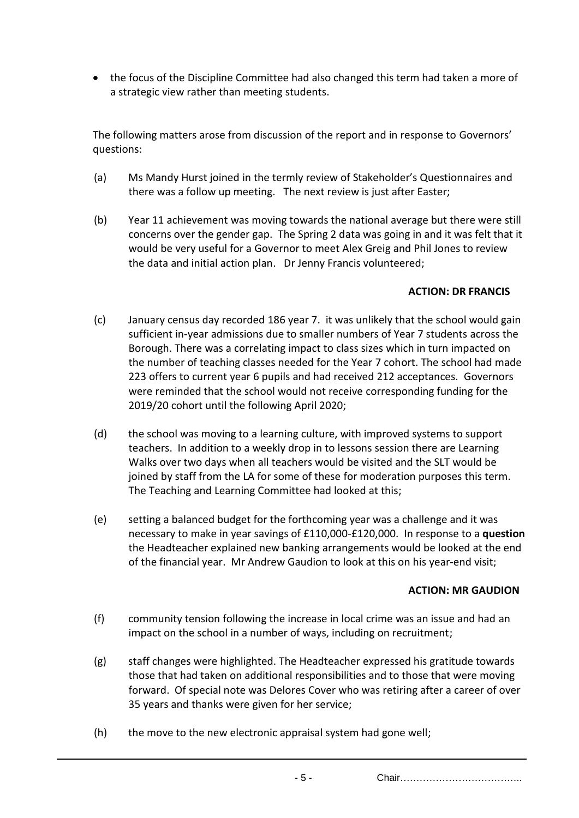the focus of the Discipline Committee had also changed this term had taken a more of a strategic view rather than meeting students.

The following matters arose from discussion of the report and in response to Governors' questions:

- (a) Ms Mandy Hurst joined in the termly review of Stakeholder's Questionnaires and there was a follow up meeting. The next review is just after Easter;
- (b) Year 11 achievement was moving towards the national average but there were still concerns over the gender gap. The Spring 2 data was going in and it was felt that it would be very useful for a Governor to meet Alex Greig and Phil Jones to review the data and initial action plan. Dr Jenny Francis volunteered;

#### **ACTION: DR FRANCIS**

- (c) January census day recorded 186 year 7. it was unlikely that the school would gain sufficient in-year admissions due to smaller numbers of Year 7 students across the Borough. There was a correlating impact to class sizes which in turn impacted on the number of teaching classes needed for the Year 7 cohort. The school had made 223 offers to current year 6 pupils and had received 212 acceptances. Governors were reminded that the school would not receive corresponding funding for the 2019/20 cohort until the following April 2020;
- (d) the school was moving to a learning culture, with improved systems to support teachers. In addition to a weekly drop in to lessons session there are Learning Walks over two days when all teachers would be visited and the SLT would be joined by staff from the LA for some of these for moderation purposes this term. The Teaching and Learning Committee had looked at this;
- (e) setting a balanced budget for the forthcoming year was a challenge and it was necessary to make in year savings of £110,000-£120,000. In response to a **question** the Headteacher explained new banking arrangements would be looked at the end of the financial year. Mr Andrew Gaudion to look at this on his year-end visit;

#### **ACTION: MR GAUDION**

- (f) community tension following the increase in local crime was an issue and had an impact on the school in a number of ways, including on recruitment;
- (g) staff changes were highlighted. The Headteacher expressed his gratitude towards those that had taken on additional responsibilities and to those that were moving forward. Of special note was Delores Cover who was retiring after a career of over 35 years and thanks were given for her service;
- (h) the move to the new electronic appraisal system had gone well;

- 5 - Chair………………………………..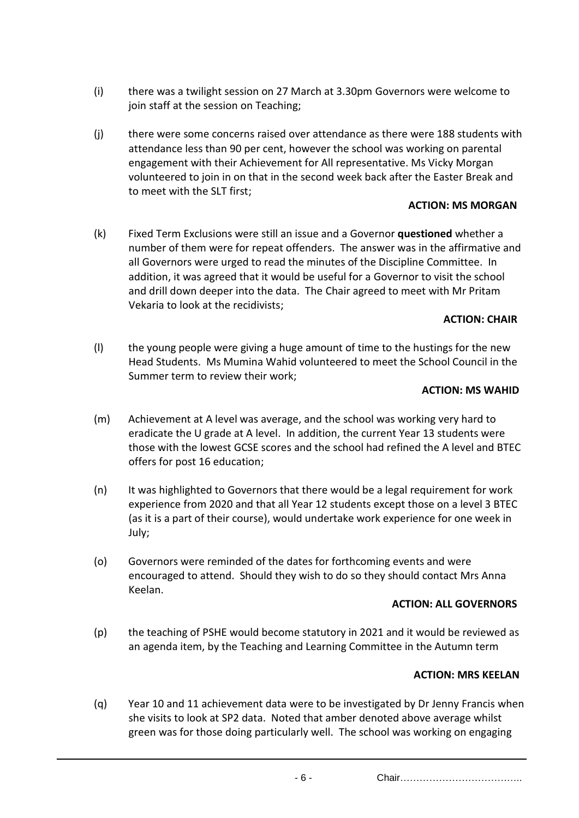- (i) there was a twilight session on 27 March at 3.30pm Governors were welcome to join staff at the session on Teaching:
- (j) there were some concerns raised over attendance as there were 188 students with attendance less than 90 per cent, however the school was working on parental engagement with their Achievement for All representative. Ms Vicky Morgan volunteered to join in on that in the second week back after the Easter Break and to meet with the SLT first;

### **ACTION: MS MORGAN**

(k) Fixed Term Exclusions were still an issue and a Governor **questioned** whether a number of them were for repeat offenders. The answer was in the affirmative and all Governors were urged to read the minutes of the Discipline Committee. In addition, it was agreed that it would be useful for a Governor to visit the school and drill down deeper into the data. The Chair agreed to meet with Mr Pritam Vekaria to look at the recidivists;

#### **ACTION: CHAIR**

(l) the young people were giving a huge amount of time to the hustings for the new Head Students. Ms Mumina Wahid volunteered to meet the School Council in the Summer term to review their work;

#### **ACTION: MS WAHID**

- (m) Achievement at A level was average, and the school was working very hard to eradicate the U grade at A level. In addition, the current Year 13 students were those with the lowest GCSE scores and the school had refined the A level and BTEC offers for post 16 education;
- (n) It was highlighted to Governors that there would be a legal requirement for work experience from 2020 and that all Year 12 students except those on a level 3 BTEC (as it is a part of their course), would undertake work experience for one week in July;
- (o) Governors were reminded of the dates for forthcoming events and were encouraged to attend. Should they wish to do so they should contact Mrs Anna Keelan.

#### **ACTION: ALL GOVERNORS**

(p) the teaching of PSHE would become statutory in 2021 and it would be reviewed as an agenda item, by the Teaching and Learning Committee in the Autumn term

## **ACTION: MRS KEELAN**

(q) Year 10 and 11 achievement data were to be investigated by Dr Jenny Francis when she visits to look at SP2 data. Noted that amber denoted above average whilst green was for those doing particularly well. The school was working on engaging

- 6 - Chair………………………………..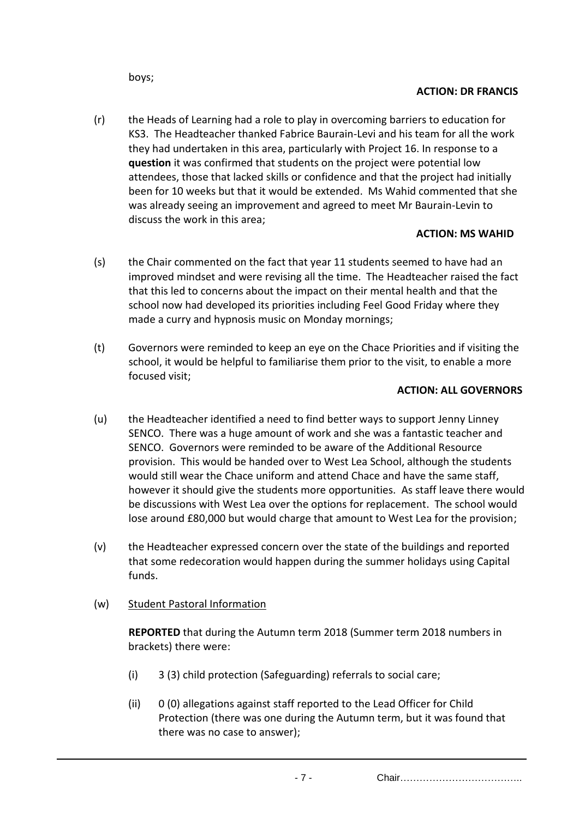boys;

## **ACTION: DR FRANCIS**

(r) the Heads of Learning had a role to play in overcoming barriers to education for KS3. The Headteacher thanked Fabrice Baurain-Levi and his team for all the work they had undertaken in this area, particularly with Project 16. In response to a **question** it was confirmed that students on the project were potential low attendees, those that lacked skills or confidence and that the project had initially been for 10 weeks but that it would be extended. Ms Wahid commented that she was already seeing an improvement and agreed to meet Mr Baurain-Levin to discuss the work in this area;

## **ACTION: MS WAHID**

- (s) the Chair commented on the fact that year 11 students seemed to have had an improved mindset and were revising all the time. The Headteacher raised the fact that this led to concerns about the impact on their mental health and that the school now had developed its priorities including Feel Good Friday where they made a curry and hypnosis music on Monday mornings;
- (t) Governors were reminded to keep an eye on the Chace Priorities and if visiting the school, it would be helpful to familiarise them prior to the visit, to enable a more focused visit;

#### **ACTION: ALL GOVERNORS**

- (u) the Headteacher identified a need to find better ways to support Jenny Linney SENCO. There was a huge amount of work and she was a fantastic teacher and SENCO. Governors were reminded to be aware of the Additional Resource provision. This would be handed over to West Lea School, although the students would still wear the Chace uniform and attend Chace and have the same staff, however it should give the students more opportunities. As staff leave there would be discussions with West Lea over the options for replacement. The school would lose around £80,000 but would charge that amount to West Lea for the provision;
- (v) the Headteacher expressed concern over the state of the buildings and reported that some redecoration would happen during the summer holidays using Capital funds.
- (w) Student Pastoral Information

**REPORTED** that during the Autumn term 2018 (Summer term 2018 numbers in brackets) there were:

- (i) 3 (3) child protection (Safeguarding) referrals to social care;
- (ii) 0 (0) allegations against staff reported to the Lead Officer for Child Protection (there was one during the Autumn term, but it was found that there was no case to answer);

- 7 - Chair………………………………..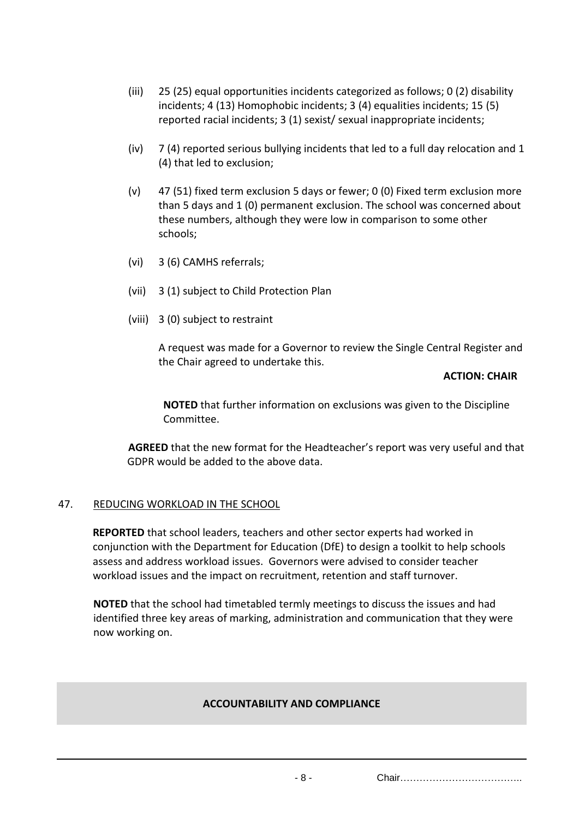- (iii) 25 (25) equal opportunities incidents categorized as follows; 0 (2) disability incidents; 4 (13) Homophobic incidents; 3 (4) equalities incidents; 15 (5) reported racial incidents; 3 (1) sexist/ sexual inappropriate incidents;
- (iv) 7 (4) reported serious bullying incidents that led to a full day relocation and 1 (4) that led to exclusion;
- (v) 47 (51) fixed term exclusion 5 days or fewer; 0 (0) Fixed term exclusion more than 5 days and 1 (0) permanent exclusion. The school was concerned about these numbers, although they were low in comparison to some other schools;
- (vi) 3 (6) CAMHS referrals;
- (vii) 3 (1) subject to Child Protection Plan
- (viii) 3 (0) subject to restraint

A request was made for a Governor to review the Single Central Register and the Chair agreed to undertake this.

#### **ACTION: CHAIR**

**NOTED** that further information on exclusions was given to the Discipline Committee.

**AGREED** that the new format for the Headteacher's report was very useful and that GDPR would be added to the above data.

## 47. REDUCING WORKLOAD IN THE SCHOOL

**REPORTED** that school leaders, teachers and other sector experts had worked in conjunction with the Department for Education (DfE) to design a toolkit to help schools assess and address workload issues. Governors were advised to consider teacher workload issues and the impact on recruitment, retention and staff turnover.

**NOTED** that the school had timetabled termly meetings to discuss the issues and had identified three key areas of marking, administration and communication that they were now working on.

## **ACCOUNTABILITY AND COMPLIANCE**

- 8 - Chair………………………………..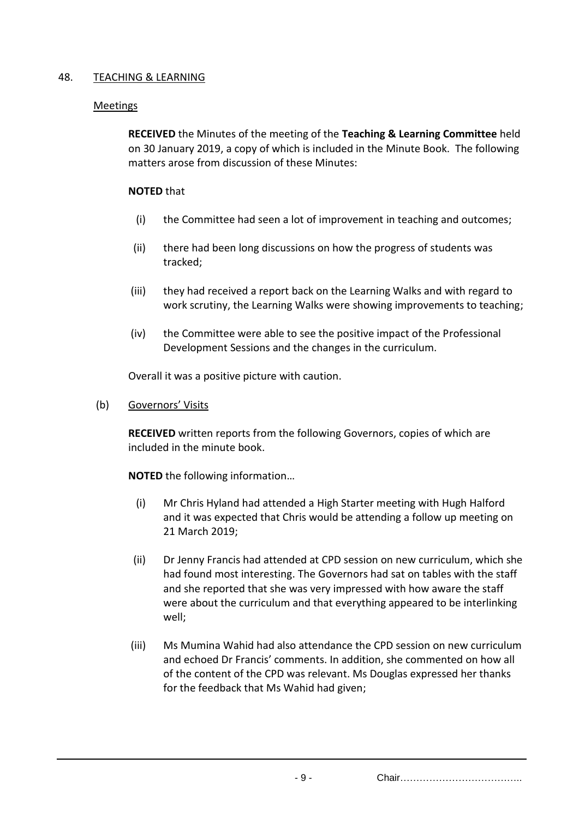## 48. TEACHING & LEARNING

## Meetings

**RECEIVED** the Minutes of the meeting of the **Teaching & Learning Committee** held on 30 January 2019, a copy of which is included in the Minute Book. The following matters arose from discussion of these Minutes:

#### **NOTED** that

- (i) the Committee had seen a lot of improvement in teaching and outcomes;
- (ii) there had been long discussions on how the progress of students was tracked;
- (iii) they had received a report back on the Learning Walks and with regard to work scrutiny, the Learning Walks were showing improvements to teaching;
- (iv) the Committee were able to see the positive impact of the Professional Development Sessions and the changes in the curriculum.

Overall it was a positive picture with caution.

(b) Governors' Visits

**RECEIVED** written reports from the following Governors, copies of which are included in the minute book.

**NOTED** the following information…

- (i) Mr Chris Hyland had attended a High Starter meeting with Hugh Halford and it was expected that Chris would be attending a follow up meeting on 21 March 2019;
- (ii) Dr Jenny Francis had attended at CPD session on new curriculum, which she had found most interesting. The Governors had sat on tables with the staff and she reported that she was very impressed with how aware the staff were about the curriculum and that everything appeared to be interlinking well;
- (iii) Ms Mumina Wahid had also attendance the CPD session on new curriculum and echoed Dr Francis' comments. In addition, she commented on how all of the content of the CPD was relevant. Ms Douglas expressed her thanks for the feedback that Ms Wahid had given;

- 9 - Chair………………………………..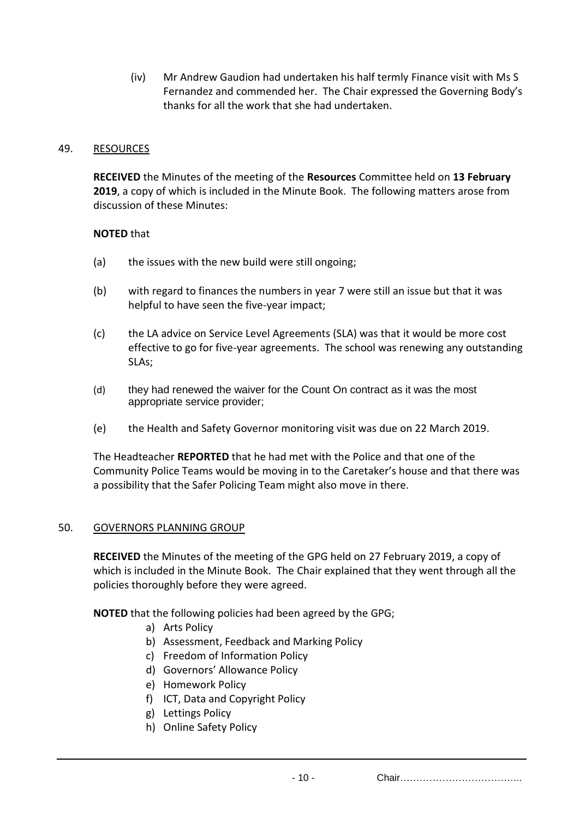(iv) Mr Andrew Gaudion had undertaken his half termly Finance visit with Ms S Fernandez and commended her. The Chair expressed the Governing Body's thanks for all the work that she had undertaken.

#### 49. RESOURCES

**RECEIVED** the Minutes of the meeting of the **Resources** Committee held on **13 February 2019**, a copy of which is included in the Minute Book. The following matters arose from discussion of these Minutes:

#### **NOTED** that

- (a) the issues with the new build were still ongoing;
- (b) with regard to finances the numbers in year 7 were still an issue but that it was helpful to have seen the five-year impact;
- (c) the LA advice on Service Level Agreements (SLA) was that it would be more cost effective to go for five-year agreements. The school was renewing any outstanding SLAs;
- (d) they had renewed the waiver for the Count On contract as it was the most appropriate service provider;
- (e) the Health and Safety Governor monitoring visit was due on 22 March 2019.

The Headteacher **REPORTED** that he had met with the Police and that one of the Community Police Teams would be moving in to the Caretaker's house and that there was a possibility that the Safer Policing Team might also move in there.

#### 50. GOVERNORS PLANNING GROUP

**RECEIVED** the Minutes of the meeting of the GPG held on 27 February 2019, a copy of which is included in the Minute Book. The Chair explained that they went through all the policies thoroughly before they were agreed.

**NOTED** that the following policies had been agreed by the GPG;

- a) Arts Policy
- b) Assessment, Feedback and Marking Policy
- c) Freedom of Information Policy
- d) Governors' Allowance Policy
- e) Homework Policy
- f) ICT, Data and Copyright Policy
- g) Lettings Policy
- h) Online Safety Policy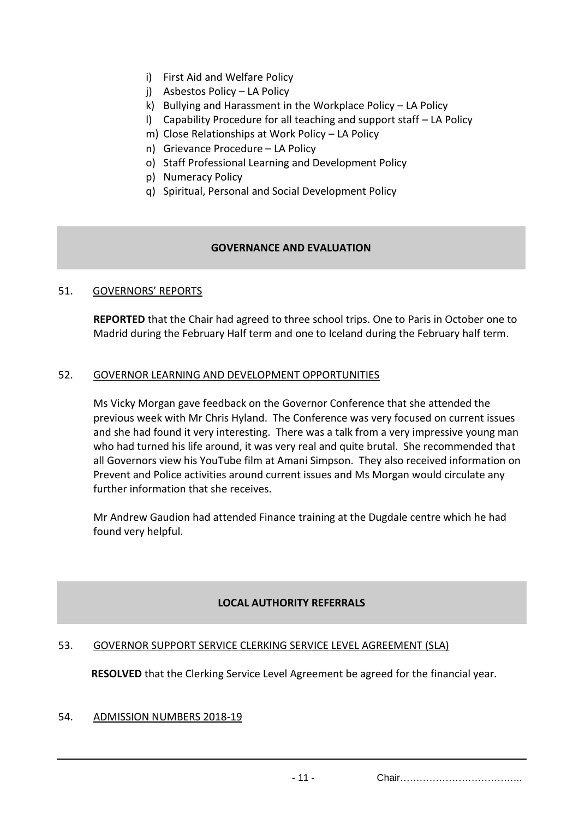- i) First Aid and Welfare Policy
- j) Asbestos Policy LA Policy
- k) Bullying and Harassment in the Workplace Policy LA Policy
- l) Capability Procedure for all teaching and support staff LA Policy
- m) Close Relationships at Work Policy LA Policy
- n) Grievance Procedure LA Policy
- o) Staff Professional Learning and Development Policy
- p) Numeracy Policy
- q) Spiritual, Personal and Social Development Policy

## **GOVERNANCE AND EVALUATION**

## 51. GOVERNORS' REPORTS

**REPORTED** that the Chair had agreed to three school trips. One to Paris in October one to Madrid during the February Half term and one to Iceland during the February half term.

## 52. GOVERNOR LEARNING AND DEVELOPMENT OPPORTUNITIES

Ms Vicky Morgan gave feedback on the Governor Conference that she attended the previous week with Mr Chris Hyland. The Conference was very focused on current issues and she had found it very interesting. There was a talk from a very impressive young man who had turned his life around, it was very real and quite brutal. She recommended that all Governors view his YouTube film at Amani Simpson. They also received information on Prevent and Police activities around current issues and Ms Morgan would circulate any further information that she receives.

Mr Andrew Gaudion had attended Finance training at the Dugdale centre which he had found very helpful.

## **LOCAL AUTHORITY REFERRALS**

## 53. GOVERNOR SUPPORT SERVICE CLERKING SERVICE LEVEL AGREEMENT (SLA)

**RESOLVED** that the Clerking Service Level Agreement be agreed for the financial year.

#### 54. ADMISSION NUMBERS 2018-19

- 11 - Chair………………………………..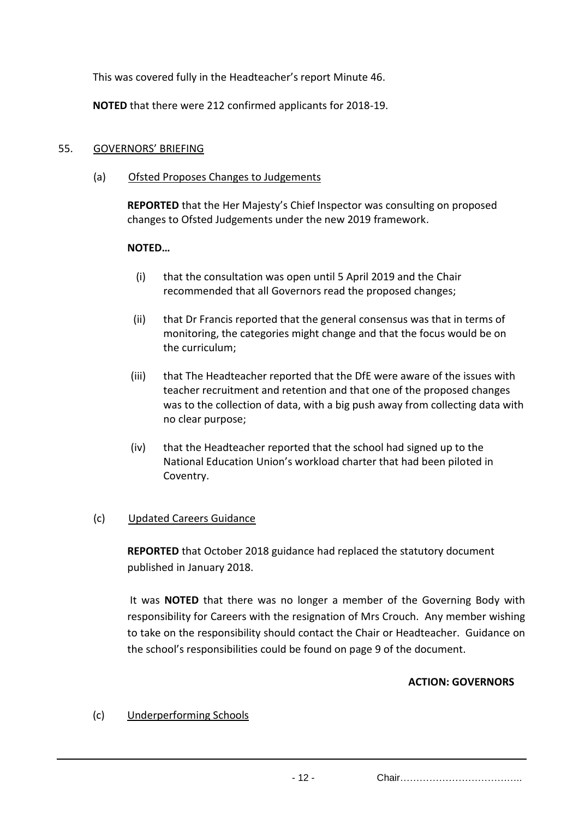This was covered fully in the Headteacher's report Minute 46.

**NOTED** that there were 212 confirmed applicants for 2018-19.

### 55. GOVERNORS' BRIEFING

(a) Ofsted Proposes Changes to Judgements

**REPORTED** that the Her Majesty's Chief Inspector was consulting on proposed changes to Ofsted Judgements under the new 2019 framework.

## **NOTED…**

- (i) that the consultation was open until 5 April 2019 and the Chair recommended that all Governors read the proposed changes;
- (ii) that Dr Francis reported that the general consensus was that in terms of monitoring, the categories might change and that the focus would be on the curriculum;
- (iii) that The Headteacher reported that the DfE were aware of the issues with teacher recruitment and retention and that one of the proposed changes was to the collection of data, with a big push away from collecting data with no clear purpose;
- (iv) that the Headteacher reported that the school had signed up to the National Education Union's workload charter that had been piloted in Coventry.

## (c) Updated Careers Guidance

**REPORTED** that October 2018 guidance had replaced the statutory document published in January 2018.

It was **NOTED** that there was no longer a member of the Governing Body with responsibility for Careers with the resignation of Mrs Crouch. Any member wishing to take on the responsibility should contact the Chair or Headteacher. Guidance on the school's responsibilities could be found on page 9 of the document.

## **ACTION: GOVERNORS**

(c) Underperforming Schools

- 12 - Chair………………………………..